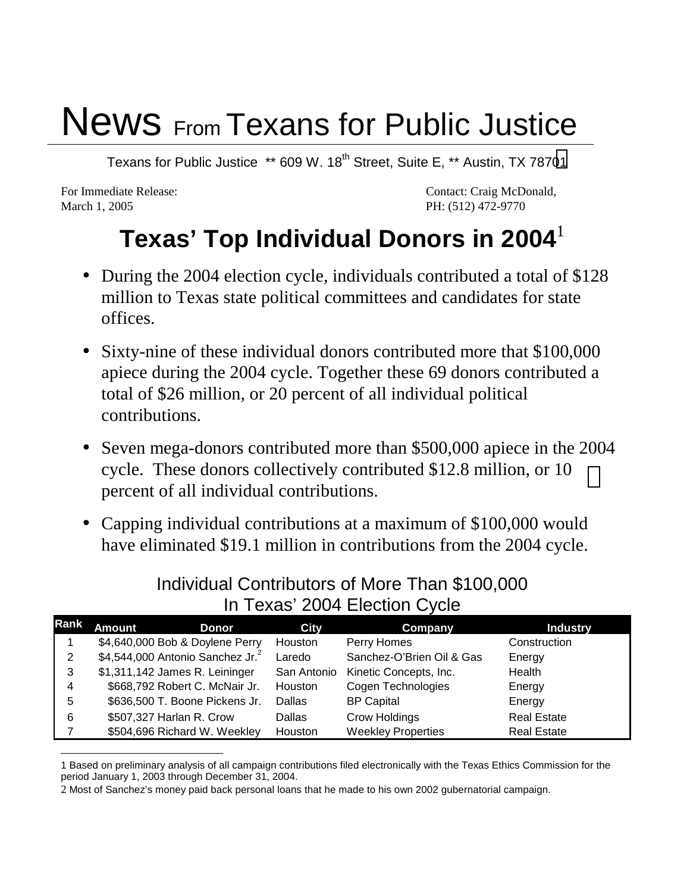## News From Texans for Public Justice

Texans for Public Justice \*\* 609 W. 18<sup>th</sup> Street, Suite E, \*\* Austin, TX 78701

March 1, 2005 **PH:** (512) 472-9770

For Immediate Release: Contact: Craig McDonald,

## **Texas' Top Individual Donors in 2004**

- During the 2004 election cycle, individuals contributed a total of \$128 million to Texas state political committees and candidates for state offices.
- Sixty-nine of these individual donors contributed more that \$100,000 apiece during the 2004 cycle. Together these 69 donors contributed a total of \$26 million, or 20 percent of all individual political contributions.
- Seven mega-donors contributed more than \$500,000 apiece in the 2004 cycle. These donors collectively contributed \$12.8 million, or 10 percent of all individual contributions.
- Capping individual contributions at a maximum of \$100,000 would have eliminated \$19.1 million in contributions from the 2004 cycle.

| Rank | Amount | Donor                               | City          | Company                   | <b>Industry</b>    |
|------|--------|-------------------------------------|---------------|---------------------------|--------------------|
|      |        | \$4,640,000 Bob & Doylene Perry     | Houston       | Perry Homes               | Construction       |
| 2    |        | \$4,544,000 Antonio Sanchez Jr. $2$ | Laredo        | Sanchez-O'Brien Oil & Gas | Energy             |
| 3    |        | \$1,311,142 James R. Leininger      | San Antonio   | Kinetic Concepts, Inc.    | Health             |
| 4    |        | \$668,792 Robert C. McNair Jr.      | Houston       | Cogen Technologies        | Energy             |
| 5    |        | \$636,500 T. Boone Pickens Jr.      | Dallas        | <b>BP Capital</b>         | Energy             |
| 6    |        | \$507,327 Harlan R. Crow            | <b>Dallas</b> | Crow Holdings             | <b>Real Estate</b> |
|      |        | \$504,696 Richard W. Weekley        | Houston       | <b>Weekley Properties</b> | <b>Real Estate</b> |

Individual Contributors of More Than \$100,000 In Texas' 2004 Election Cycle

 $\overline{a}$ 1 Based on preliminary analysis of all campaign contributions filed electronically with the Texas Ethics Commission for the period January 1, 2003 through December 31, 2004.

<sup>2</sup> Most of Sanchez's money paid back personal loans that he made to his own 2002 gubernatorial campaign.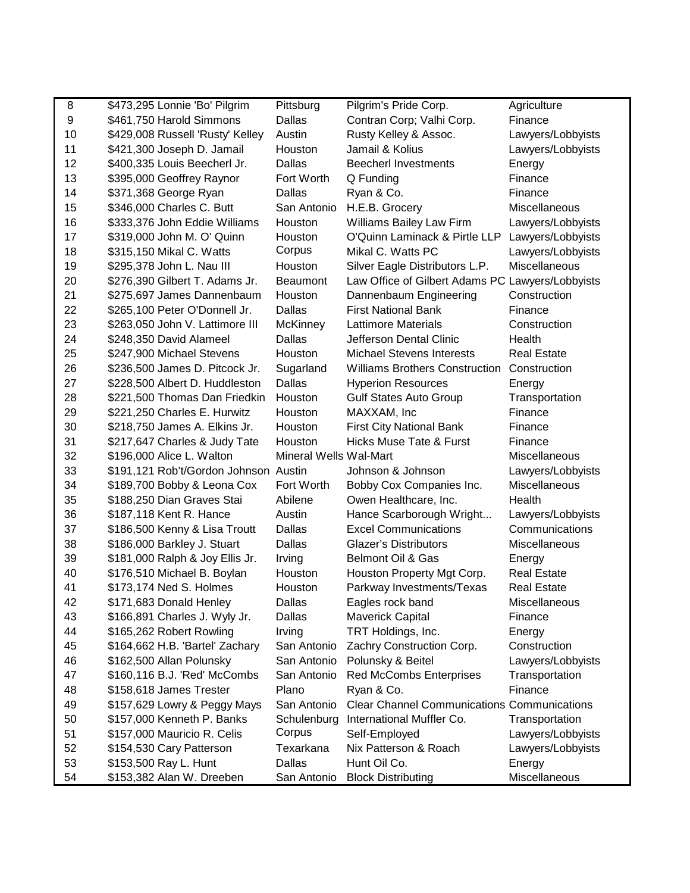| 8  | \$473,295 Lonnie 'Bo' Pilgrim         | Pittsburg              | Pilgrim's Pride Corp.                              | Agriculture        |
|----|---------------------------------------|------------------------|----------------------------------------------------|--------------------|
| 9  | \$461,750 Harold Simmons              | <b>Dallas</b>          | Contran Corp; Valhi Corp.                          | Finance            |
| 10 | \$429,008 Russell 'Rusty' Kelley      | Austin                 | Rusty Kelley & Assoc.                              | Lawyers/Lobbyists  |
| 11 | \$421,300 Joseph D. Jamail            | Houston                | Jamail & Kolius                                    | Lawyers/Lobbyists  |
| 12 | \$400,335 Louis Beecherl Jr.          | Dallas                 | <b>Beecherl Investments</b>                        | Energy             |
| 13 | \$395,000 Geoffrey Raynor             | Fort Worth             | Q Funding                                          | Finance            |
| 14 | \$371,368 George Ryan                 | Dallas                 | Ryan & Co.                                         | Finance            |
| 15 | \$346,000 Charles C. Butt             | San Antonio            | H.E.B. Grocery                                     | Miscellaneous      |
| 16 | \$333,376 John Eddie Williams         | Houston                | Williams Bailey Law Firm                           | Lawyers/Lobbyists  |
| 17 | \$319,000 John M. O' Quinn            | Houston                | O'Quinn Laminack & Pirtle LLP                      | Lawyers/Lobbyists  |
| 18 | \$315,150 Mikal C. Watts              | Corpus                 | Mikal C. Watts PC                                  | Lawyers/Lobbyists  |
| 19 | \$295,378 John L. Nau III             | Houston                | Silver Eagle Distributors L.P.                     | Miscellaneous      |
| 20 | \$276,390 Gilbert T. Adams Jr.        | <b>Beaumont</b>        | Law Office of Gilbert Adams PC Lawyers/Lobbyists   |                    |
| 21 | \$275,697 James Dannenbaum            | Houston                | Dannenbaum Engineering                             | Construction       |
| 22 | \$265,100 Peter O'Donnell Jr.         | <b>Dallas</b>          | <b>First National Bank</b>                         | Finance            |
| 23 | \$263,050 John V. Lattimore III       | <b>McKinney</b>        | <b>Lattimore Materials</b>                         | Construction       |
| 24 | \$248,350 David Alameel               | Dallas                 | Jefferson Dental Clinic                            | Health             |
| 25 | \$247,900 Michael Stevens             | Houston                | <b>Michael Stevens Interests</b>                   | <b>Real Estate</b> |
| 26 | \$236,500 James D. Pitcock Jr.        | Sugarland              | <b>Williams Brothers Construction</b>              | Construction       |
| 27 | \$228,500 Albert D. Huddleston        | Dallas                 | <b>Hyperion Resources</b>                          | Energy             |
| 28 | \$221,500 Thomas Dan Friedkin         | Houston                | <b>Gulf States Auto Group</b>                      | Transportation     |
| 29 | \$221,250 Charles E. Hurwitz          | Houston                | MAXXAM, Inc                                        | Finance            |
| 30 | \$218,750 James A. Elkins Jr.         | Houston                | <b>First City National Bank</b>                    | Finance            |
| 31 | \$217,647 Charles & Judy Tate         | Houston                | <b>Hicks Muse Tate &amp; Furst</b>                 | Finance            |
| 32 | \$196,000 Alice L. Walton             | Mineral Wells Wal-Mart |                                                    | Miscellaneous      |
| 33 | \$191,121 Rob't/Gordon Johnson Austin |                        | Johnson & Johnson                                  | Lawyers/Lobbyists  |
| 34 | \$189,700 Bobby & Leona Cox           | Fort Worth             | Bobby Cox Companies Inc.                           | Miscellaneous      |
| 35 | \$188,250 Dian Graves Stai            | Abilene                | Owen Healthcare, Inc.                              | Health             |
| 36 | \$187,118 Kent R. Hance               | Austin                 | Hance Scarborough Wright                           | Lawyers/Lobbyists  |
| 37 | \$186,500 Kenny & Lisa Troutt         | Dallas                 | <b>Excel Communications</b>                        | Communications     |
| 38 | \$186,000 Barkley J. Stuart           | Dallas                 | <b>Glazer's Distributors</b>                       | Miscellaneous      |
| 39 | \$181,000 Ralph & Joy Ellis Jr.       | Irving                 | Belmont Oil & Gas                                  | Energy             |
| 40 | \$176,510 Michael B. Boylan           | Houston                | Houston Property Mgt Corp.                         | <b>Real Estate</b> |
| 41 | \$173,174 Ned S. Holmes               | Houston                | Parkway Investments/Texas                          | <b>Real Estate</b> |
| 42 | \$171,683 Donald Henley               | Dallas                 | Eagles rock band                                   | Miscellaneous      |
| 43 | \$166,891 Charles J. Wyly Jr.         | Dallas                 | <b>Maverick Capital</b>                            | Finance            |
| 44 | \$165,262 Robert Rowling              | Irving                 | TRT Holdings, Inc.                                 | Energy             |
| 45 | \$164,662 H.B. 'Bartel' Zachary       | San Antonio            | Zachry Construction Corp.                          | Construction       |
| 46 | \$162,500 Allan Polunsky              | San Antonio            | Polunsky & Beitel                                  | Lawyers/Lobbyists  |
| 47 | \$160,116 B.J. 'Red' McCombs          | San Antonio            | <b>Red McCombs Enterprises</b>                     | Transportation     |
| 48 | \$158,618 James Trester               | Plano                  | Ryan & Co.                                         | Finance            |
| 49 | \$157,629 Lowry & Peggy Mays          | San Antonio            | <b>Clear Channel Communications Communications</b> |                    |
| 50 | \$157,000 Kenneth P. Banks            | Schulenburg            | International Muffler Co.                          | Transportation     |
| 51 | \$157,000 Mauricio R. Celis           | Corpus                 | Self-Employed                                      | Lawyers/Lobbyists  |
| 52 | \$154,530 Cary Patterson              | Texarkana              | Nix Patterson & Roach                              | Lawyers/Lobbyists  |
| 53 | \$153,500 Ray L. Hunt                 | Dallas                 | Hunt Oil Co.                                       | Energy             |
| 54 | \$153,382 Alan W. Dreeben             | San Antonio            | <b>Block Distributing</b>                          | Miscellaneous      |